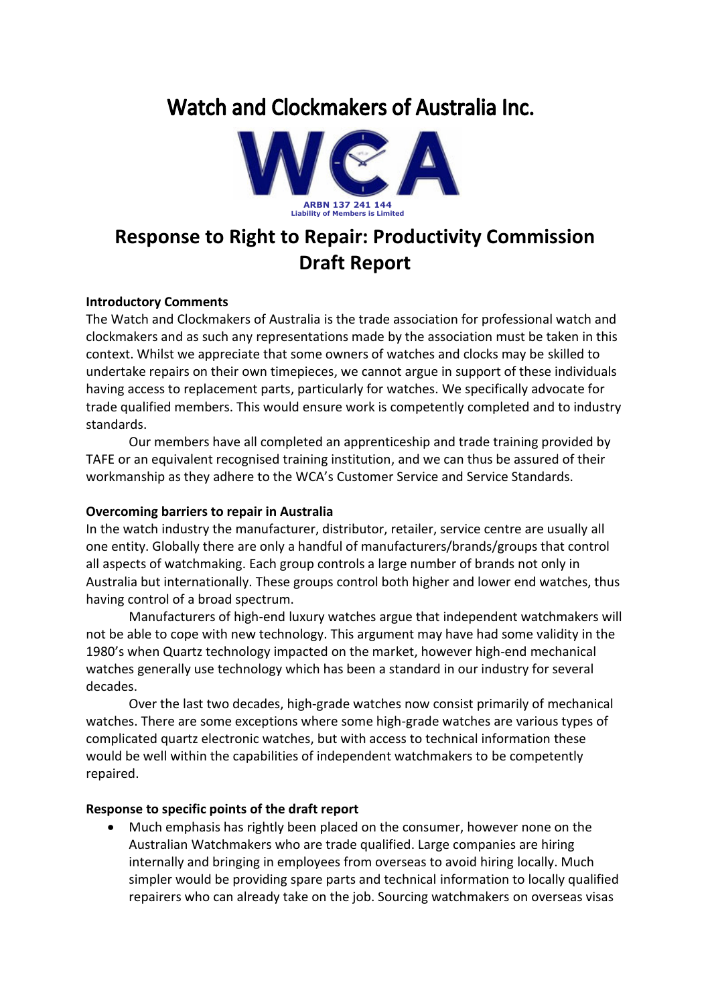# Watch and Clockmakers of Australia Inc.



## **Response to Right to Repair: Productivity Commission Draft Report**

#### **Introductory Comments**

The Watch and Clockmakers of Australia is the trade association for professional watch and clockmakers and as such any representations made by the association must be taken in this context. Whilst we appreciate that some owners of watches and clocks may be skilled to undertake repairs on their own timepieces, we cannot argue in support of these individuals having access to replacement parts, particularly for watches. We specifically advocate for trade qualified members. This would ensure work is competently completed and to industry standards.

Our members have all completed an apprenticeship and trade training provided by TAFE or an equivalent recognised training institution, and we can thus be assured of their workmanship as they adhere to the WCA's Customer Service and Service Standards.

## **Overcoming barriers to repair in Australia**

In the watch industry the manufacturer, distributor, retailer, service centre are usually all one entity. Globally there are only a handful of manufacturers/brands/groups that control all aspects of watchmaking. Each group controls a large number of brands not only in Australia but internationally. These groups control both higher and lower end watches, thus having control of a broad spectrum.

Manufacturers of high-end luxury watches argue that independent watchmakers will not be able to cope with new technology. This argument may have had some validity in the 1980's when Quartz technology impacted on the market, however high-end mechanical watches generally use technology which has been a standard in our industry for several decades.

Over the last two decades, high-grade watches now consist primarily of mechanical watches. There are some exceptions where some high-grade watches are various types of complicated quartz electronic watches, but with access to technical information these would be well within the capabilities of independent watchmakers to be competently repaired.

#### **Response to specific points of the draft report**

• Much emphasis has rightly been placed on the consumer, however none on the Australian Watchmakers who are trade qualified. Large companies are hiring internally and bringing in employees from overseas to avoid hiring locally. Much simpler would be providing spare parts and technical information to locally qualified repairers who can already take on the job. Sourcing watchmakers on overseas visas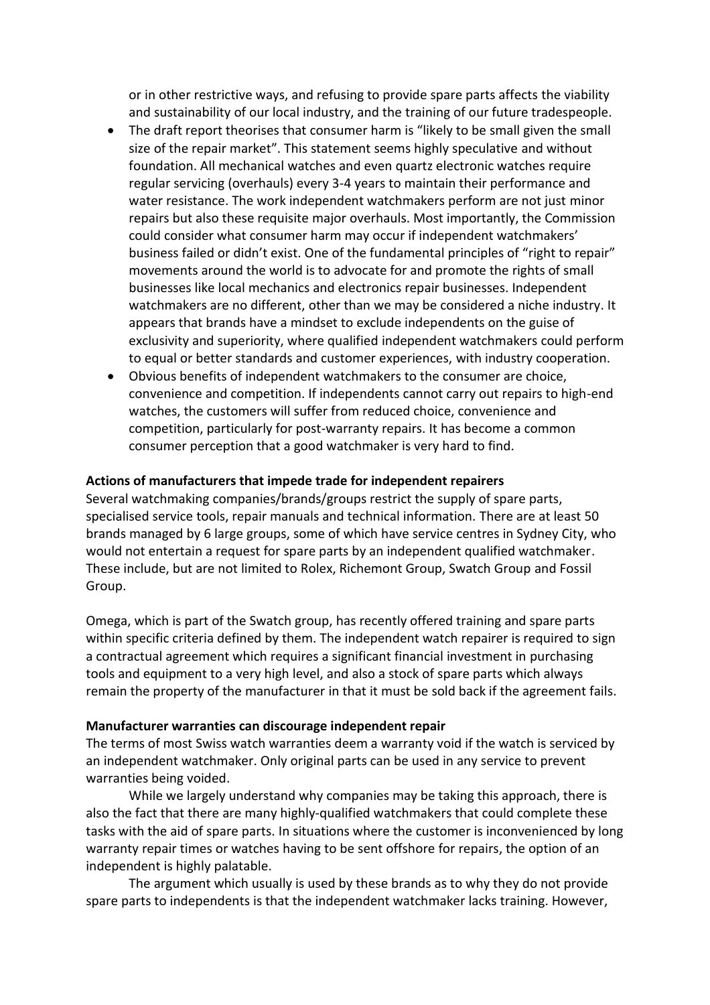or in other restrictive ways, and refusing to provide spare parts affects the viability and sustainability of our local industry, and the training of our future tradespeople.

- The draft report theorises that consumer harm is "likely to be small given the small size of the repair market". This statement seems highly speculative and without foundation. All mechanical watches and even quartz electronic watches require regular servicing (overhauls) every 3-4 years to maintain their performance and water resistance. The work independent watchmakers perform are not just minor repairs but also these requisite major overhauls. Most importantly, the Commission could consider what consumer harm may occur if independent watchmakers' business failed or didn't exist. One of the fundamental principles of "right to repair" movements around the world is to advocate for and promote the rights of small businesses like local mechanics and electronics repair businesses. Independent watchmakers are no different, other than we may be considered a niche industry. It appears that brands have a mindset to exclude independents on the guise of exclusivity and superiority, where qualified independent watchmakers could perform to equal or better standards and customer experiences, with industry cooperation.
- Obvious benefits of independent watchmakers to the consumer are choice, convenience and competition. If independents cannot carry out repairs to high-end watches, the customers will suffer from reduced choice, convenience and competition, particularly for post-warranty repairs. It has become a common consumer perception that a good watchmaker is very hard to find.

#### **Actions of manufacturers that impede trade for independent repairers**

Several watchmaking companies/brands/groups restrict the supply of spare parts, specialised service tools, repair manuals and technical information. There are at least 50 brands managed by 6 large groups, some of which have service centres in Sydney City, who would not entertain a request for spare parts by an independent qualified watchmaker. These include, but are not limited to Rolex, Richemont Group, Swatch Group and Fossil Group.

Omega, which is part of the Swatch group, has recently offered training and spare parts within specific criteria defined by them. The independent watch repairer is required to sign a contractual agreement which requires a significant financial investment in purchasing tools and equipment to a very high level, and also a stock of spare parts which always remain the property of the manufacturer in that it must be sold back if the agreement fails.

#### **Manufacturer warranties can discourage independent repair**

The terms of most Swiss watch warranties deem a warranty void if the watch is serviced by an independent watchmaker. Only original parts can be used in any service to prevent warranties being voided.

While we largely understand why companies may be taking this approach, there is also the fact that there are many highly-qualified watchmakers that could complete these tasks with the aid of spare parts. In situations where the customer is inconvenienced by long warranty repair times or watches having to be sent offshore for repairs, the option of an independent is highly palatable.

The argument which usually is used by these brands as to why they do not provide spare parts to independents is that the independent watchmaker lacks training. However,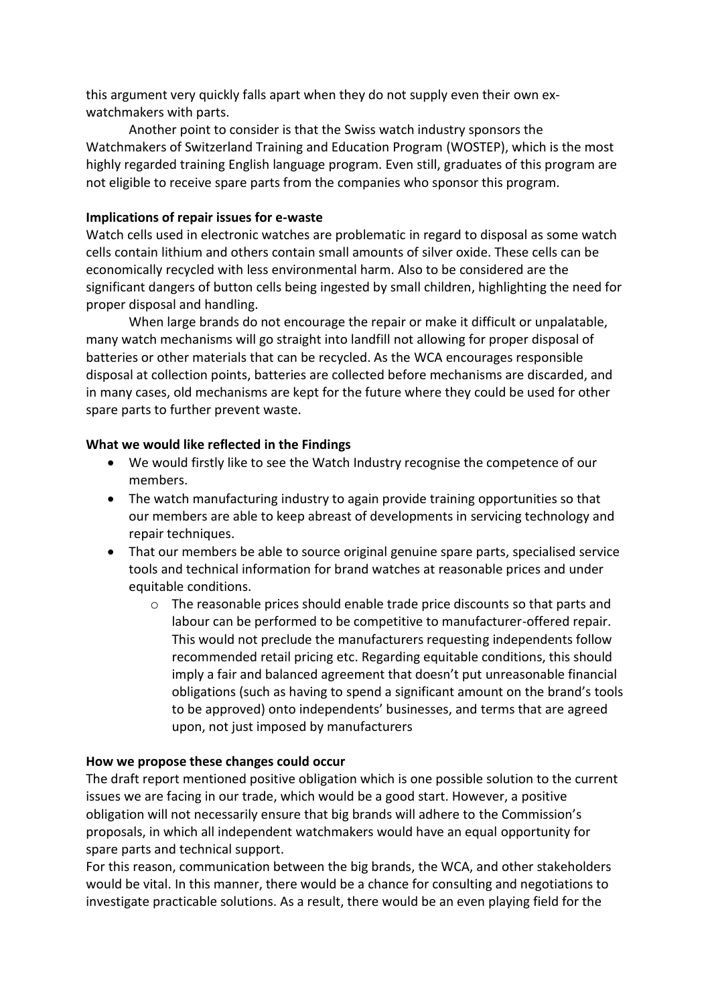this argument very quickly falls apart when they do not supply even their own exwatchmakers with parts.

Another point to consider is that the Swiss watch industry sponsors the Watchmakers of Switzerland Training and Education Program (WOSTEP), which is the most highly regarded training English language program. Even still, graduates of this program are not eligible to receive spare parts from the companies who sponsor this program.

## **Implications of repair issues for e-waste**

Watch cells used in electronic watches are problematic in regard to disposal as some watch cells contain lithium and others contain small amounts of silver oxide. These cells can be economically recycled with less environmental harm. Also to be considered are the significant dangers of button cells being ingested by small children, highlighting the need for proper disposal and handling.

When large brands do not encourage the repair or make it difficult or unpalatable, many watch mechanisms will go straight into landfill not allowing for proper disposal of batteries or other materials that can be recycled. As the WCA encourages responsible disposal at collection points, batteries are collected before mechanisms are discarded, and in many cases, old mechanisms are kept for the future where they could be used for other spare parts to further prevent waste.

#### **What we would like reflected in the Findings**

- We would firstly like to see the Watch Industry recognise the competence of our members.
- The watch manufacturing industry to again provide training opportunities so that our members are able to keep abreast of developments in servicing technology and repair techniques.
- That our members be able to source original genuine spare parts, specialised service tools and technical information for brand watches at reasonable prices and under equitable conditions.
	- $\circ$  The reasonable prices should enable trade price discounts so that parts and labour can be performed to be competitive to manufacturer-offered repair. This would not preclude the manufacturers requesting independents follow recommended retail pricing etc. Regarding equitable conditions, this should imply a fair and balanced agreement that doesn't put unreasonable financial obligations (such as having to spend a significant amount on the brand's tools to be approved) onto independents' businesses, and terms that are agreed upon, not just imposed by manufacturers

#### **How we propose these changes could occur**

The draft report mentioned positive obligation which is one possible solution to the current issues we are facing in our trade, which would be a good start. However, a positive obligation will not necessarily ensure that big brands will adhere to the Commission's proposals, in which all independent watchmakers would have an equal opportunity for spare parts and technical support.

For this reason, communication between the big brands, the WCA, and other stakeholders would be vital. In this manner, there would be a chance for consulting and negotiations to investigate practicable solutions. As a result, there would be an even playing field for the